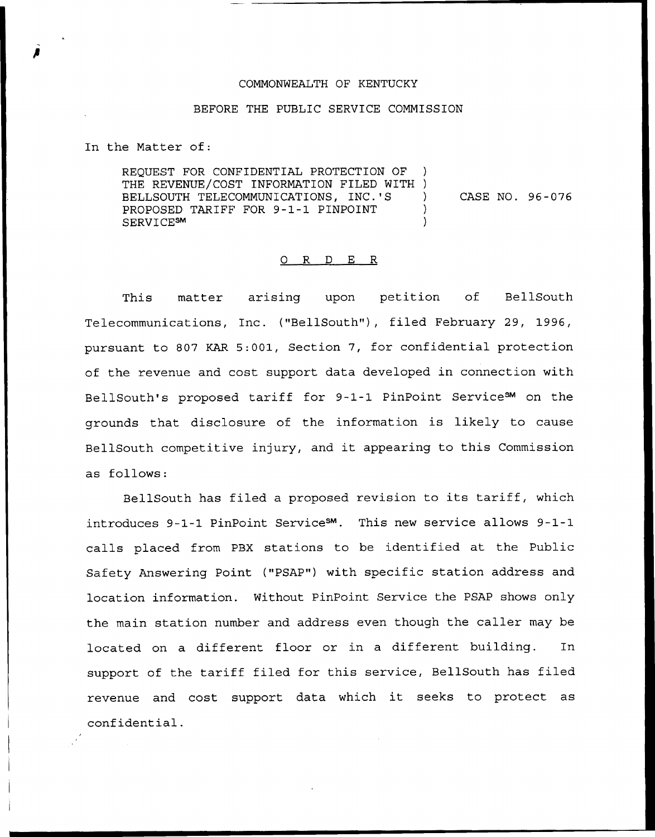## COMMONWEALTH OF KENTUCKY

## BEFORE THE PUBLIC SERVICE COMMISSION

In the Matter of:

REQUEST FOR CONFIDENTIAL PROTECTION OF THE REVENUE/COST INFORMATION FILED WITH ) BELLSOUTH TELECOMMUNICATIONS, INC.'S PROPOSED TARIFF FOR 9-1-1 PINPOINT ) SERVICE<sup>SM</sup> CASE NO. 96-076

## 0 R <sup>D</sup> E R

This matter arising upon petition of BellSouth Telecommunications, Inc. {"BellSouth"), filed February 29, 1996, pursuant to 807 KAR 5:001, Section 7, for confidential protection of the revenue and cost support data developed in connection with BellSouth's proposed tariff for 9-1-1 PinPoint ServiceSM on the grounds that disclosure of the information is likely to cause BellSouth competitive injury, and it appearing to this Commission as follows:

BellSouth has filed <sup>a</sup> proposed revision to its tariff, which introduces 9-1-1 PinPoint Service<sup>sm</sup>. This new service allows 9-1-1 calls placed from PBX stations to be identified at the Public Safety Answering Point ("PSAP") with specific station address and location information. Without PinPoint Service the PSAP shows only the main station number and address even though the caller may be located on a different floor or in a different building. In support of the tariff filed for this service, BellSouth has filed revenue and cost support data which it seeks to protect as confidential.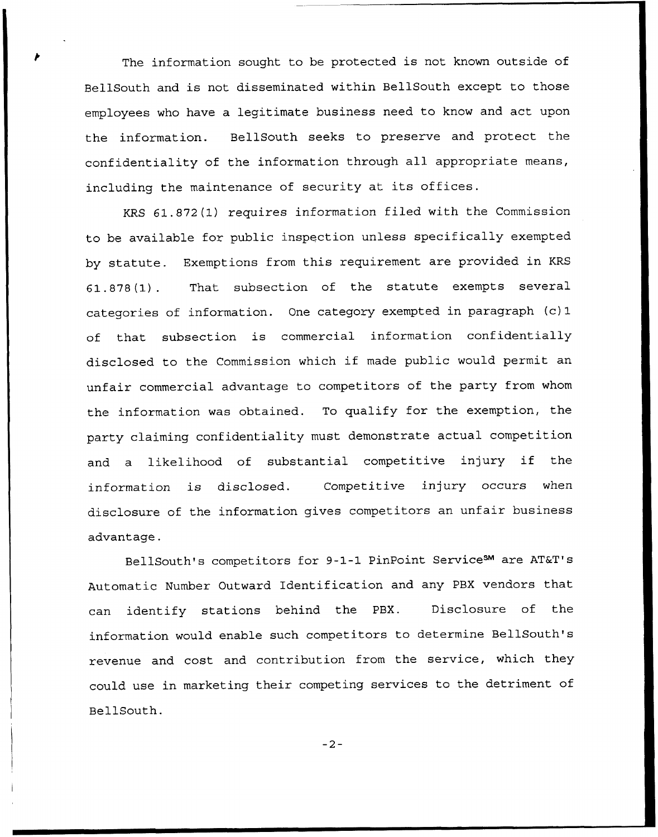The information sought to be protected is not known outside of BellSouth and is not disseminated within BellSouth except to those employees who have a legitimate business need to know and act upon the information. BellSouth seeks to preserve and protect the confidentiality of the information through all appropriate means, including the maintenance of security at its offices.

KRS 61.872(1) requires information filed with the Commission to be available for public inspection unless specifically exempted by statute. Exemptions from this requirement are provided in KRS 61.878(1). That subsection of the statute exempts several categories of information. One category exempted in paragraph (c) 1 of that subsection is commercial information confidentially disclosed to the Commission which if made public would permit an unfair commercial advantage to competitors of the party from whom the information was obtained. To qualify for the exemption, the party claiming confidentiality must demonstrate actual competition and <sup>a</sup> likelihood of substantial competitive injury if the information is disclosed. Competitive injury occurs when disclosure of the information gives competitors an unfair business advantage.

BellSouth's competitors for 9-1-1 PinPoint ServiceSM are AT&T's Automatic Number Outward Identification and any PBX vendors that can identify stations behind the PBX. Disclosure of the information would enable such competitors to determine BellSouth's revenue and cost and contribution from the service, which they could use in marketing their competing services to the detriment of BellSouth.

 $-2-$